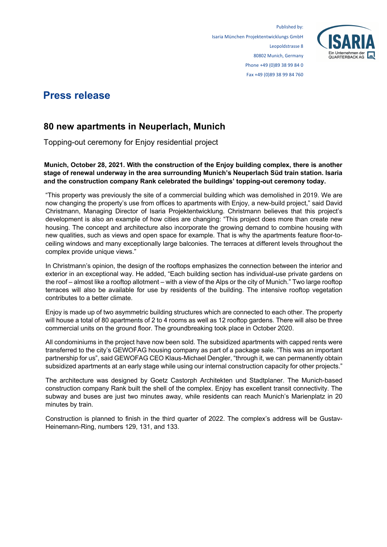

## **Press release**

## **80 new apartments in Neuperlach, Munich**

Topping-out ceremony for Enjoy residential project

**Munich, October 28, 2021. With the construction of the Enjoy building complex, there is another stage of renewal underway in the area surrounding Munich's Neuperlach Süd train station. Isaria and the construction company Rank celebrated the buildings' topping-out ceremony today.**

"This property was previously the site of a commercial building which was demolished in 2019. We are now changing the property's use from offices to apartments with Enjoy, a new-build project," said David Christmann, Managing Director of Isaria Projektentwicklung. Christmann believes that this project's development is also an example of how cities are changing: "This project does more than create new housing. The concept and architecture also incorporate the growing demand to combine housing with new qualities, such as views and open space for example. That is why the apartments feature floor-toceiling windows and many exceptionally large balconies. The terraces at different levels throughout the complex provide unique views."

In Christmann's opinion, the design of the rooftops emphasizes the connection between the interior and exterior in an exceptional way. He added, "Each building section has individual-use private gardens on the roof – almost like a rooftop allotment – with a view of the Alps or the city of Munich." Two large rooftop terraces will also be available for use by residents of the building. The intensive rooftop vegetation contributes to a better climate.

Enjoy is made up of two asymmetric building structures which are connected to each other. The property will house a total of 80 apartments of 2 to 4 rooms as well as 12 rooftop gardens. There will also be three commercial units on the ground floor. The groundbreaking took place in October 2020.

All condominiums in the project have now been sold. The subsidized apartments with capped rents were transferred to the city's GEWOFAG housing company as part of a package sale. "This was an important partnership for us", said GEWOFAG CEO Klaus-Michael Dengler, "through it, we can permanently obtain subsidized apartments at an early stage while using our internal construction capacity for other projects."

The architecture was designed by Goetz Castorph Architekten und Stadtplaner. The Munich-based construction company Rank built the shell of the complex. Enjoy has excellent transit connectivity. The subway and buses are just two minutes away, while residents can reach Munich's Marienplatz in 20 minutes by train.

Construction is planned to finish in the third quarter of 2022. The complex's address will be Gustav-Heinemann-Ring, numbers 129, 131, and 133.